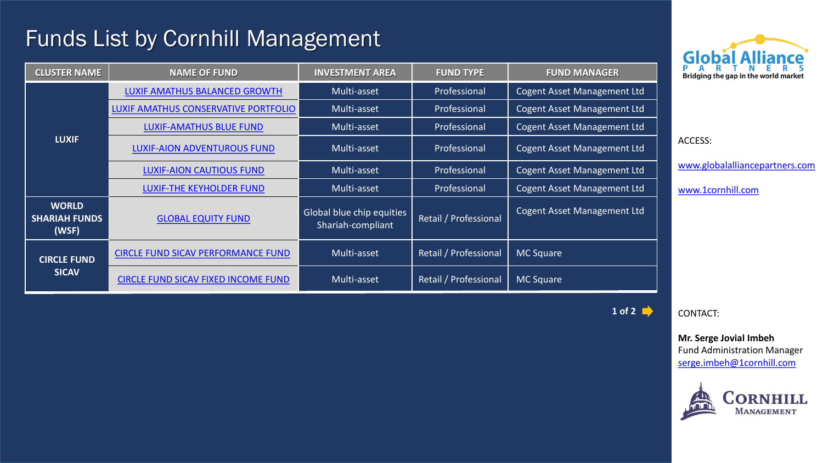## Funds List by Cornhill Management

| <b>CLUSTER NAME</b>                           | <b>NAME OF FUND</b>                        | <b>INVESTMENT AREA</b>                         | <b>FUND TYPE</b>      | <b>FUND MANAGER</b>                |
|-----------------------------------------------|--------------------------------------------|------------------------------------------------|-----------------------|------------------------------------|
| <b>LUXIF</b>                                  | LUXIF AMATHUS BALANCED GROWTH              | Multi-asset                                    | Professional          | Cogent Asset Management Ltd        |
|                                               | LUXIF AMATHUS CONSERVATIVE PORTFOLIO       | Multi-asset                                    | Professional          | Cogent Asset Management Ltd        |
|                                               | <b>LUXIF-AMATHUS BLUE FUND</b>             | Multi-asset                                    | Professional          | <b>Cogent Asset Management Ltd</b> |
|                                               | <b>LUXIF-AION ADVENTUROUS FUND</b>         | Multi-asset                                    | Professional          | Cogent Asset Management Ltd        |
|                                               | <b>LUXIF-AION CAUTIOUS FUND</b>            | Multi-asset                                    | Professional          | Cogent Asset Management Ltd        |
|                                               | <b>LUXIF-THE KEYHOLDER FUND</b>            | Multi-asset                                    | Professional          | Cogent Asset Management Ltd        |
| <b>WORLD</b><br><b>SHARIAH FUNDS</b><br>(WSF) | <b>GLOBAL EQUITY FUND</b>                  | Global blue chip equities<br>Shariah-compliant | Retail / Professional | Cogent Asset Management Ltd        |
| <b>CIRCLE FUND</b><br><b>SICAV</b>            | <b>CIRCLE FUND SICAV PERFORMANCE FUND</b>  | Multi-asset                                    | Retail / Professional | <b>MC Square</b>                   |
|                                               | <b>CIRCLE FUND SICAV FIXED INCOME FUND</b> | Multi-asset                                    | Retail / Professional | <b>MC Square</b>                   |

**Global Alliance** P.  $\overline{A}$ Bridging the gap in the world market

[www.globalalliancepartners.com](http://www.globalalliancepartners.com/)

CONTACT: **1 of 2**

ACCESS:

[www.1cornhill.com](https://www.1cornhill.com/funds)

**Mr. Serge Jovial Imbeh** Fund Administration Manager [serge.imbeh@1cornhill.com](mailto:serge.imbeh@1cornhill.com)